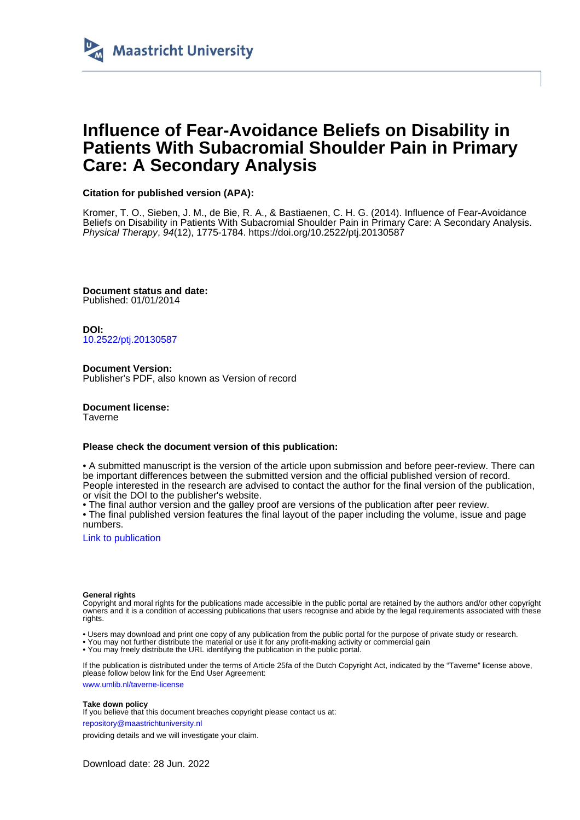

# **Influence of Fear-Avoidance Beliefs on Disability in Patients With Subacromial Shoulder Pain in Primary Care: A Secondary Analysis**

## **Citation for published version (APA):**

Kromer, T. O., Sieben, J. M., de Bie, R. A., & Bastiaenen, C. H. G. (2014). Influence of Fear-Avoidance Beliefs on Disability in Patients With Subacromial Shoulder Pain in Primary Care: A Secondary Analysis. Physical Therapy, 94(12), 1775-1784.<https://doi.org/10.2522/ptj.20130587>

**Document status and date:** Published: 01/01/2014

**DOI:** [10.2522/ptj.20130587](https://doi.org/10.2522/ptj.20130587)

**Document Version:** Publisher's PDF, also known as Version of record

**Document license:** Taverne

#### **Please check the document version of this publication:**

• A submitted manuscript is the version of the article upon submission and before peer-review. There can be important differences between the submitted version and the official published version of record. People interested in the research are advised to contact the author for the final version of the publication, or visit the DOI to the publisher's website.

• The final author version and the galley proof are versions of the publication after peer review.

• The final published version features the final layout of the paper including the volume, issue and page numbers.

[Link to publication](https://cris.maastrichtuniversity.nl/en/publications/a30ee04d-7979-4a60-8703-b8e061c6a5ac)

#### **General rights**

Copyright and moral rights for the publications made accessible in the public portal are retained by the authors and/or other copyright owners and it is a condition of accessing publications that users recognise and abide by the legal requirements associated with these rights.

• Users may download and print one copy of any publication from the public portal for the purpose of private study or research.

• You may not further distribute the material or use it for any profit-making activity or commercial gain

• You may freely distribute the URL identifying the publication in the public portal

If the publication is distributed under the terms of Article 25fa of the Dutch Copyright Act, indicated by the "Taverne" license above, please follow below link for the End User Agreement:

www.umlib.nl/taverne-license

#### **Take down policy**

If you believe that this document breaches copyright please contact us at:

repository@maastrichtuniversity.nl

providing details and we will investigate your claim.

Download date: 28 Jun. 2022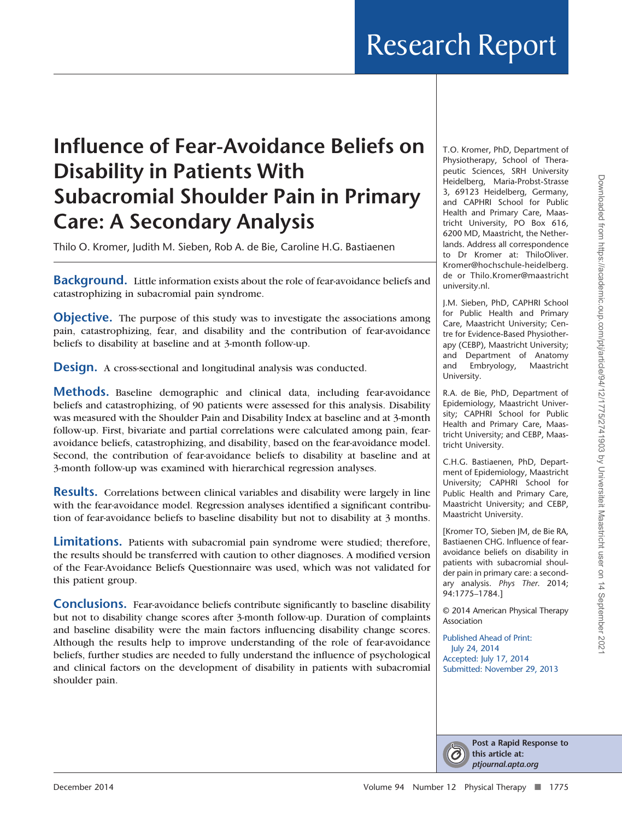# **Influence of Fear-Avoidance Beliefs on Disability in Patients With Subacromial Shoulder Pain in Primary Care: A Secondary Analysis**

Thilo O. Kromer, Judith M. Sieben, Rob A. de Bie, Caroline H.G. Bastiaenen

**Background.** Little information exists about the role of fear-avoidance beliefs and catastrophizing in subacromial pain syndrome.

**Objective.** The purpose of this study was to investigate the associations among pain, catastrophizing, fear, and disability and the contribution of fear-avoidance beliefs to disability at baseline and at 3-month follow-up.

**Design.** A cross-sectional and longitudinal analysis was conducted.

**Methods.** Baseline demographic and clinical data, including fear-avoidance beliefs and catastrophizing, of 90 patients were assessed for this analysis. Disability was measured with the Shoulder Pain and Disability Index at baseline and at 3-month follow-up. First, bivariate and partial correlations were calculated among pain, fearavoidance beliefs, catastrophizing, and disability, based on the fear-avoidance model. Second, the contribution of fear-avoidance beliefs to disability at baseline and at 3-month follow-up was examined with hierarchical regression analyses.

**Results.** Correlations between clinical variables and disability were largely in line with the fear-avoidance model. Regression analyses identified a significant contribution of fear-avoidance beliefs to baseline disability but not to disability at 3 months.

**Limitations.** Patients with subacromial pain syndrome were studied; therefore, the results should be transferred with caution to other diagnoses. A modified version of the Fear-Avoidance Beliefs Questionnaire was used, which was not validated for this patient group.

**Conclusions.** Fear-avoidance beliefs contribute significantly to baseline disability but not to disability change scores after 3-month follow-up. Duration of complaints and baseline disability were the main factors influencing disability change scores. Although the results help to improve understanding of the role of fear-avoidance beliefs, further studies are needed to fully understand the influence of psychological and clinical factors on the development of disability in patients with subacromial shoulder pain.

T.O. Kromer, PhD, Department of Physiotherapy, School of Therapeutic Sciences, SRH University Heidelberg, Maria-Probst-Strasse 3, 69123 Heidelberg, Germany, and CAPHRI School for Public Health and Primary Care, Maastricht University, PO Box 616, 6200 MD, Maastricht, the Netherlands. Address all correspondence to Dr Kromer at: [ThiloOliver.](mailto:ThiloOliver.Kromer@hochschule-heidelberg.de) [Kromer@hochschule-heidelberg.](mailto:ThiloOliver.Kromer@hochschule-heidelberg.de) de or [Thilo.Kromer@maastricht](mailto:Thilo.Kromer@maastrichtuniversity.nl) [university.nl.](mailto:Thilo.Kromer@maastrichtuniversity.nl)

J.M. Sieben, PhD, CAPHRI School for Public Health and Primary Care, Maastricht University; Centre for Evidence-Based Physiotherapy (CEBP), Maastricht University; and Department of Anatomy and Embryology, Maastricht University.

R.A. de Bie, PhD, Department of Epidemiology, Maastricht University; CAPHRI School for Public Health and Primary Care, Maastricht University; and CEBP, Maastricht University.

C.H.G. Bastiaenen, PhD, Department of Epidemiology, Maastricht University; CAPHRI School for Public Health and Primary Care, Maastricht University; and CEBP, Maastricht University.

[Kromer TO, Sieben JM, de Bie RA, Bastiaenen CHG. Influence of fearavoidance beliefs on disability in patients with subacromial shoulder pain in primary care: a secondary analysis. *Phys Ther*. 2014; 94:1775–1784.]

© 2014 American Physical Therapy Association

Published Ahead of Print: July 24, 2014 Accepted: July 17, 2014 Submitted: November 29, 2013

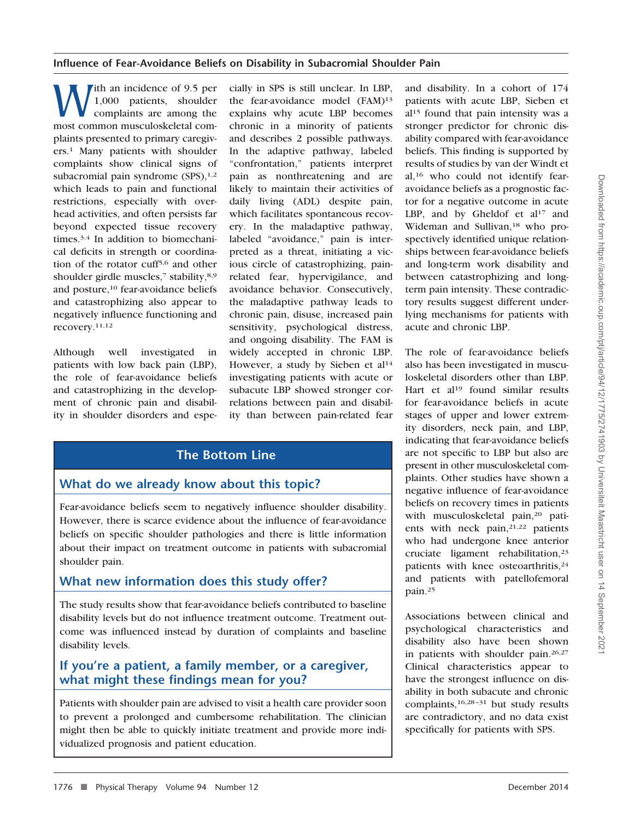With an incidence of 9.5 per<br>
1,000 patients, shoulder<br>
complaints are among the<br>
most common musculoskeletal com-1,000 patients, shoulder complaints are among the plaints presented to primary caregivers.1 Many patients with shoulder complaints show clinical signs of subacromial pain syndrome  $(SPS)$ ,<sup>1,2</sup> which leads to pain and functional restrictions, especially with overhead activities, and often persists far beyond expected tissue recovery times.3,4 In addition to biomechanical deficits in strength or coordination of the rotator cuff5,6 and other shoulder girdle muscles,<sup>7</sup> stability,<sup>8,9</sup> and posture,10 fear-avoidance beliefs and catastrophizing also appear to negatively influence functioning and recovery.11,12

Although well investigated in patients with low back pain (LBP), the role of fear-avoidance beliefs and catastrophizing in the development of chronic pain and disability in shoulder disorders and espe-

cially in SPS is still unclear. In LBP, the fear-avoidance model (FAM)<sup>13</sup> explains why acute LBP becomes chronic in a minority of patients and describes 2 possible pathways. In the adaptive pathway, labeled "confrontation," patients interpret pain as nonthreatening and are likely to maintain their activities of daily living (ADL) despite pain, which facilitates spontaneous recovery. In the maladaptive pathway, labeled "avoidance," pain is interpreted as a threat, initiating a vicious circle of catastrophizing, painrelated fear, hypervigilance, and avoidance behavior. Consecutively, the maladaptive pathway leads to chronic pain, disuse, increased pain sensitivity, psychological distress, and ongoing disability. The FAM is widely accepted in chronic LBP. However, a study by Sieben et al<sup>14</sup> investigating patients with acute or subacute LBP showed stronger correlations between pain and disability than between pain-related fear

## **The Bottom Line**

## **What do we already know about this topic?**

Fear-avoidance beliefs seem to negatively influence shoulder disability. However, there is scarce evidence about the influence of fear-avoidance beliefs on specific shoulder pathologies and there is little information about their impact on treatment outcome in patients with subacromial shoulder pain.

## **What new information does this study offer?**

The study results show that fear-avoidance beliefs contributed to baseline disability levels but do not influence treatment outcome. Treatment outcome was influenced instead by duration of complaints and baseline disability levels.

## **If you're a patient, a family member, or a caregiver, what might these findings mean for you?**

Patients with shoulder pain are advised to visit a health care provider soon to prevent a prolonged and cumbersome rehabilitation. The clinician might then be able to quickly initiate treatment and provide more individualized prognosis and patient education.

and disability. In a cohort of 174 patients with acute LBP, Sieben et al15 found that pain intensity was a stronger predictor for chronic disability compared with fear-avoidance beliefs. This finding is supported by results of studies by van der Windt et al,16 who could not identify fearavoidance beliefs as a prognostic factor for a negative outcome in acute LBP, and by Gheldof et al<sup>17</sup> and Wideman and Sullivan,<sup>18</sup> who prospectively identified unique relationships between fear-avoidance beliefs and long-term work disability and between catastrophizing and longterm pain intensity. These contradictory results suggest different underlying mechanisms for patients with acute and chronic LBP.

The role of fear-avoidance beliefs also has been investigated in musculoskeletal disorders other than LBP. Hart et al<sup>19</sup> found similar results for fear-avoidance beliefs in acute stages of upper and lower extremity disorders, neck pain, and LBP, indicating that fear-avoidance beliefs are not specific to LBP but also are present in other musculoskeletal complaints. Other studies have shown a negative influence of fear-avoidance beliefs on recovery times in patients with musculoskeletal pain,20 patients with neck pain,<sup>21,22</sup> patients who had undergone knee anterior cruciate ligament rehabilitation,23 patients with knee osteoarthritis,<sup>24</sup> and patients with patellofemoral pain.25

Associations between clinical and psychological characteristics and disability also have been shown in patients with shoulder pain.26,27 Clinical characteristics appear to have the strongest influence on disability in both subacute and chronic complaints,<sup>16,28-31</sup> but study results are contradictory, and no data exist specifically for patients with SPS.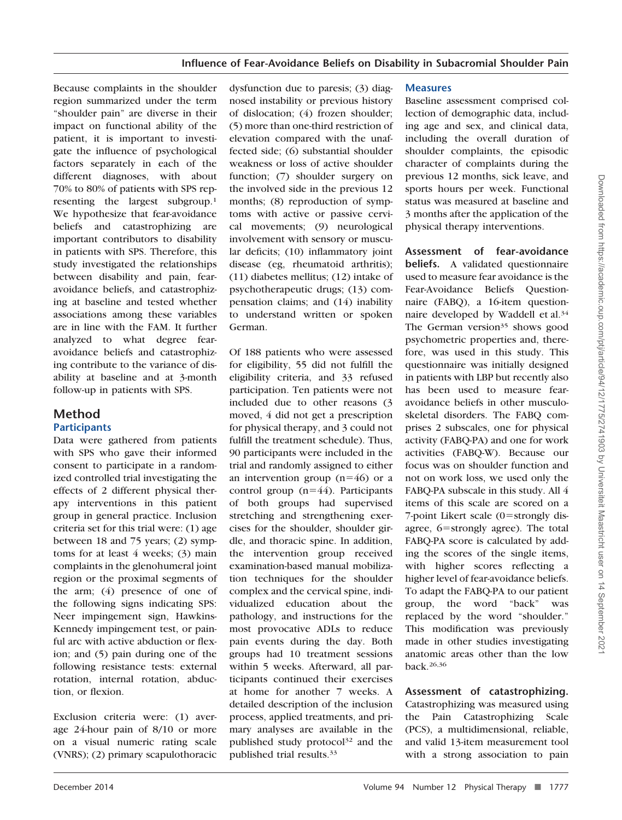Because complaints in the shoulder region summarized under the term "shoulder pain" are diverse in their impact on functional ability of the patient, it is important to investigate the influence of psychological factors separately in each of the different diagnoses, with about 70% to 80% of patients with SPS representing the largest subgroup.1 We hypothesize that fear-avoidance beliefs and catastrophizing are important contributors to disability in patients with SPS. Therefore, this study investigated the relationships between disability and pain, fearavoidance beliefs, and catastrophizing at baseline and tested whether associations among these variables are in line with the FAM. It further analyzed to what degree fearavoidance beliefs and catastrophizing contribute to the variance of disability at baseline and at 3-month follow-up in patients with SPS.

## **Method Participants**

Data were gathered from patients with SPS who gave their informed consent to participate in a randomized controlled trial investigating the effects of 2 different physical therapy interventions in this patient group in general practice. Inclusion criteria set for this trial were: (1) age between 18 and 75 years; (2) symptoms for at least 4 weeks; (3) main complaints in the glenohumeral joint region or the proximal segments of the arm; (4) presence of one of the following signs indicating SPS: Neer impingement sign, Hawkins-Kennedy impingement test, or painful arc with active abduction or flexion; and (5) pain during one of the following resistance tests: external rotation, internal rotation, abduction, or flexion.

Exclusion criteria were: (1) average 24-hour pain of 8/10 or more on a visual numeric rating scale (VNRS); (2) primary scapulothoracic

dysfunction due to paresis; (3) diagnosed instability or previous history of dislocation; (4) frozen shoulder; (5) more than one-third restriction of elevation compared with the unaffected side; (6) substantial shoulder weakness or loss of active shoulder function; (7) shoulder surgery on the involved side in the previous 12 months; (8) reproduction of symptoms with active or passive cervical movements; (9) neurological involvement with sensory or muscular deficits; (10) inflammatory joint disease (eg, rheumatoid arthritis); (11) diabetes mellitus; (12) intake of psychotherapeutic drugs; (13) compensation claims; and (14) inability to understand written or spoken German.

Of 188 patients who were assessed for eligibility, 55 did not fulfill the eligibility criteria, and 33 refused participation. Ten patients were not included due to other reasons (3 moved, 4 did not get a prescription for physical therapy, and 3 could not fulfill the treatment schedule). Thus, 90 participants were included in the trial and randomly assigned to either an intervention group  $(n=46)$  or a control group (n=44). Participants of both groups had supervised stretching and strengthening exercises for the shoulder, shoulder girdle, and thoracic spine. In addition, the intervention group received examination-based manual mobilization techniques for the shoulder complex and the cervical spine, individualized education about the pathology, and instructions for the most provocative ADLs to reduce pain events during the day. Both groups had 10 treatment sessions within 5 weeks. Afterward, all participants continued their exercises at home for another 7 weeks. A detailed description of the inclusion process, applied treatments, and primary analyses are available in the published study protocol<sup>32</sup> and the published trial results.33

#### **Measures**

Baseline assessment comprised collection of demographic data, including age and sex, and clinical data, including the overall duration of shoulder complaints, the episodic character of complaints during the previous 12 months, sick leave, and sports hours per week. Functional status was measured at baseline and 3 months after the application of the physical therapy interventions.

**Assessment of fear-avoidance beliefs.** A validated questionnaire used to measure fear avoidance is the Fear-Avoidance Beliefs Questionnaire (FABQ), a 16-item questionnaire developed by Waddell et al.34 The German version<sup>35</sup> shows good psychometric properties and, therefore, was used in this study. This questionnaire was initially designed in patients with LBP but recently also has been used to measure fearavoidance beliefs in other musculoskeletal disorders. The FABQ comprises 2 subscales, one for physical activity (FABQ-PA) and one for work activities (FABQ-W). Because our focus was on shoulder function and not on work loss, we used only the FABQ-PA subscale in this study. All 4 items of this scale are scored on a 7-point Likert scale (0=strongly disagree, 6=strongly agree). The total FABQ-PA score is calculated by adding the scores of the single items, with higher scores reflecting a higher level of fear-avoidance beliefs. To adapt the FABQ-PA to our patient group, the word "back" was replaced by the word "shoulder." This modification was previously made in other studies investigating anatomic areas other than the low back.26,36

## **Assessment of catastrophizing.**

Catastrophizing was measured using the Pain Catastrophizing Scale (PCS), a multidimensional, reliable, and valid 13-item measurement tool with a strong association to pain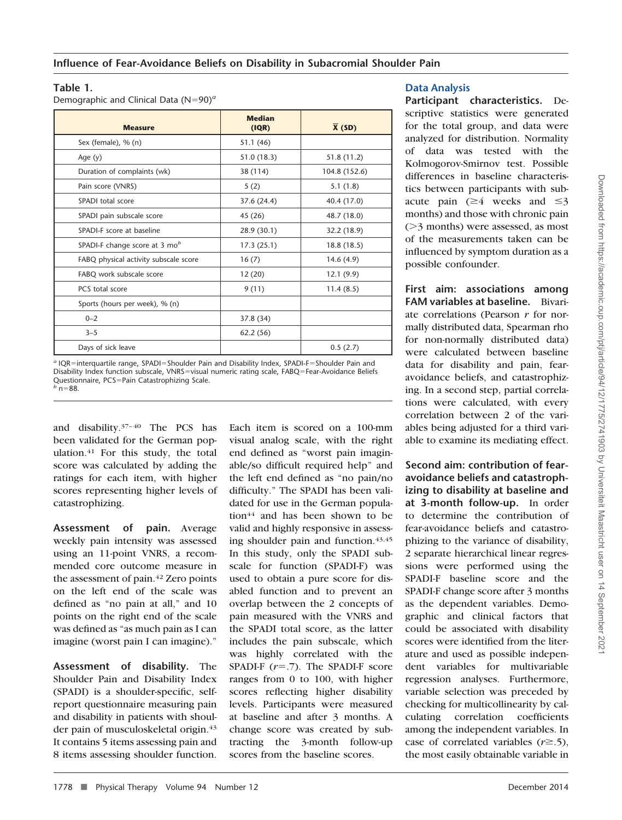## **Table 1.**

Demographic and Clinical Data (N=90)<sup>*a*</sup>

| <b>Measure</b>                        | <b>Median</b><br>(IQR) | $\overline{X}$ (SD) |  |  |
|---------------------------------------|------------------------|---------------------|--|--|
| Sex (female), % (n)                   | 51.1(46)               |                     |  |  |
| Age $(y)$                             | 51.0(18.3)             | 51.8 (11.2)         |  |  |
| Duration of complaints (wk)           | 38 (114)               | 104.8 (152.6)       |  |  |
| Pain score (VNRS)                     | 5(2)                   | 5.1(1.8)            |  |  |
| SPADI total score                     | 37.6 (24.4)            | 40.4 (17.0)         |  |  |
| SPADI pain subscale score             | 45 (26)                | 48.7 (18.0)         |  |  |
| SPADI-F score at baseline             | 28.9 (30.1)            | 32.2 (18.9)         |  |  |
| SPADI-F change score at 3 $mob$       | 17.3(25.1)             | 18.8 (18.5)         |  |  |
| FABQ physical activity subscale score | 16(7)                  | 14.6(4.9)           |  |  |
| FABQ work subscale score              | 12(20)                 | 12.1(9.9)           |  |  |
| PCS total score                       | 9(11)                  | 11.4(8.5)           |  |  |
| Sports (hours per week), % (n)        |                        |                     |  |  |
| $0 - 2$                               | 37.8 (34)              |                     |  |  |
| $3 - 5$                               | 62.2(56)               |                     |  |  |
| Days of sick leave                    |                        | 0.5(2.7)            |  |  |

a IQR=interquartile range, SPADI=Shoulder Pain and Disability Index, SPADI-F=Shoulder Pain and Disability Index function subscale, VNRS=visual numeric rating scale, FABQ=Fear-Avoidance Beliefs Questionnaire, PCS=Pain Catastrophizing Scale.<br><sup>*b*</sup> n=88.  $n = 88$ .

and disability.<sup>37-40</sup> The PCS has been validated for the German population.41 For this study, the total score was calculated by adding the ratings for each item, with higher scores representing higher levels of catastrophizing.

**Assessment of pain.** Average weekly pain intensity was assessed using an 11-point VNRS, a recommended core outcome measure in the assessment of pain.<sup>42</sup> Zero points on the left end of the scale was defined as "no pain at all," and 10 points on the right end of the scale was defined as "as much pain as I can imagine (worst pain I can imagine)."

**Assessment of disability.** The Shoulder Pain and Disability Index (SPADI) is a shoulder-specific, selfreport questionnaire measuring pain and disability in patients with shoulder pain of musculoskeletal origin.43 It contains 5 items assessing pain and 8 items assessing shoulder function.

Each item is scored on a 100-mm visual analog scale, with the right end defined as "worst pain imaginable/so difficult required help" and the left end defined as "no pain/no difficulty." The SPADI has been validated for use in the German population<sup>44</sup> and has been shown to be valid and highly responsive in assessing shoulder pain and function.<sup>43,45</sup> In this study, only the SPADI subscale for function (SPADI-F) was used to obtain a pure score for disabled function and to prevent an overlap between the 2 concepts of pain measured with the VNRS and the SPADI total score, as the latter includes the pain subscale, which was highly correlated with the SPADI-F  $(r=.7)$ . The SPADI-F score ranges from 0 to 100, with higher scores reflecting higher disability levels. Participants were measured at baseline and after 3 months. A change score was created by subtracting the 3-month follow-up scores from the baseline scores.

## **Data Analysis**

**Participant characteristics.** Descriptive statistics were generated for the total group, and data were analyzed for distribution. Normality of data was tested with the Kolmogorov-Smirnov test. Possible differences in baseline characteristics between participants with subacute pain  $(\geq 4$  weeks and  $\leq 3$ months) and those with chronic pain  $($ >3 months) were assessed, as most of the measurements taken can be influenced by symptom duration as a possible confounder.

**First aim: associations among FAM variables at baseline.** Bivariate correlations (Pearson *r* for normally distributed data, Spearman rho for non-normally distributed data) were calculated between baseline data for disability and pain, fearavoidance beliefs, and catastrophizing. In a second step, partial correlations were calculated, with every correlation between 2 of the variables being adjusted for a third variable to examine its mediating effect.

**Second aim: contribution of fearavoidance beliefs and catastrophizing to disability at baseline and at 3-month follow-up.** In order to determine the contribution of fear-avoidance beliefs and catastrophizing to the variance of disability, 2 separate hierarchical linear regressions were performed using the SPADI-F baseline score and the SPADI-F change score after 3 months as the dependent variables. Demographic and clinical factors that could be associated with disability scores were identified from the literature and used as possible independent variables for multivariable regression analyses. Furthermore, variable selection was preceded by checking for multicollinearity by calculating correlation coefficients among the independent variables. In case of correlated variables  $(r \ge 0.5)$ , the most easily obtainable variable in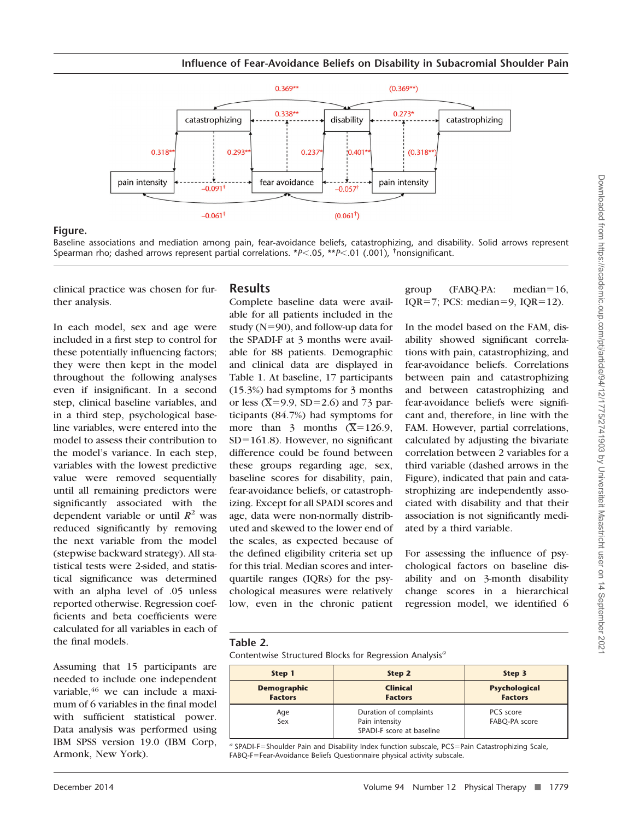

## **Figure.**

Baseline associations and mediation among pain, fear-avoidance beliefs, catastrophizing, and disability. Solid arrows represent Spearman rho; dashed arrows represent partial correlations. \**P*<.05, \*\**P*<.01 (.001), <sup>†</sup>nonsignificant.

clinical practice was chosen for further analysis.

In each model, sex and age were included in a first step to control for these potentially influencing factors; they were then kept in the model throughout the following analyses even if insignificant. In a second step, clinical baseline variables, and in a third step, psychological baseline variables, were entered into the model to assess their contribution to the model's variance. In each step, variables with the lowest predictive value were removed sequentially until all remaining predictors were significantly associated with the dependent variable or until  $R^2$  was reduced significantly by removing the next variable from the model (stepwise backward strategy). All statistical tests were 2-sided, and statistical significance was determined with an alpha level of .05 unless reported otherwise. Regression coefficients and beta coefficients were calculated for all variables in each of the final models.

Assuming that 15 participants are needed to include one independent variable, <sup>46</sup> we can include a maximum of 6 variables in the final model with sufficient statistical power. Data analysis was performed using IBM SPSS version 19.0 (IBM Corp, Armonk, New York).

## **Results**

Complete baseline data were available for all patients included in the study (N-90), and follow-up data for the SPADI-F at 3 months were available for 88 patients. Demographic and clinical data are displayed in Table 1. At baseline, 17 participants (15.3%) had symptoms for 3 months or less ( $\overline{X}$ =9.9, SD=2.6) and 73 participants (84.7%) had symptoms for more than 3 months  $(\overline{X}=126.9)$ , SD-161.8). However, no significant difference could be found between these groups regarding age, sex, baseline scores for disability, pain, fear-avoidance beliefs, or catastrophizing. Except for all SPADI scores and age, data were non-normally distributed and skewed to the lower end of the scales, as expected because of the defined eligibility criteria set up for this trial. Median scores and interquartile ranges (IQRs) for the psychological measures were relatively low, even in the chronic patient group (FABQ-PA: median= $16$ , IQR=7; PCS: median=9, IQR=12).

In the model based on the FAM, disability showed significant correlations with pain, catastrophizing, and fear-avoidance beliefs. Correlations between pain and catastrophizing and between catastrophizing and fear-avoidance beliefs were significant and, therefore, in line with the FAM. However, partial correlations, calculated by adjusting the bivariate correlation between 2 variables for a third variable (dashed arrows in the Figure), indicated that pain and catastrophizing are independently associated with disability and that their association is not significantly mediated by a third variable.

For assessing the influence of psychological factors on baseline disability and on 3-month disability change scores in a hierarchical regression model, we identified 6

## **Table 2.**

Contentwise Structured Blocks for Regression Analysis*<sup>a</sup>*

| Step 1                               | Step 2                                                                | Step 3                                 |  |  |
|--------------------------------------|-----------------------------------------------------------------------|----------------------------------------|--|--|
| <b>Demographic</b><br><b>Factors</b> | <b>Clinical</b><br><b>Factors</b>                                     | <b>Psychological</b><br><b>Factors</b> |  |  |
| Age<br>Sex                           | Duration of complaints<br>Pain intensity<br>SPADI-F score at baseline | PCS score<br>FABQ-PA score             |  |  |

a SPADI-F=Shoulder Pain and Disability Index function subscale, PCS=Pain Catastrophizing Scale, FABQ-F-Fear-Avoidance Beliefs Questionnaire physical activity subscale.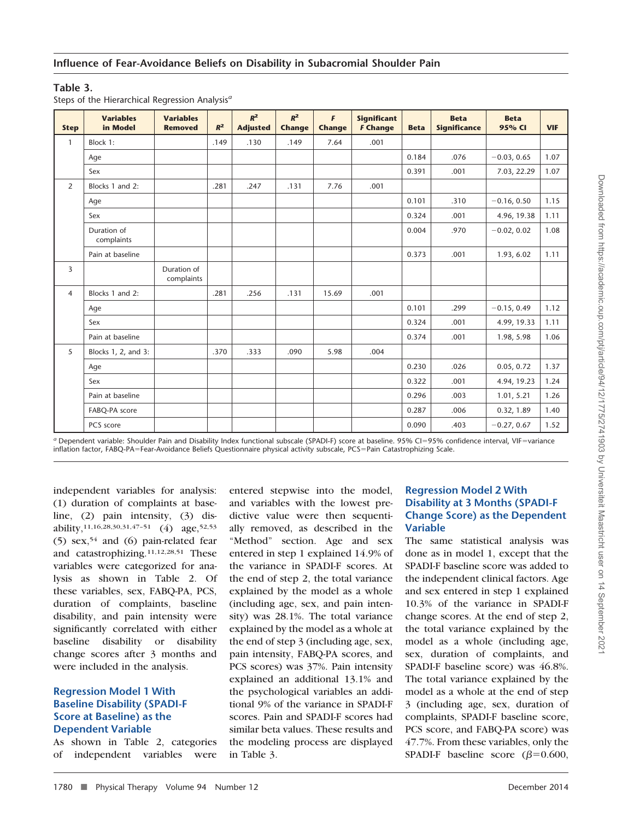## **Table 3.**

|  | Steps of the Hierarchical Regression Analysis <sup>a</sup> |  |
|--|------------------------------------------------------------|--|

|                | <b>Variables</b>          | <b>Variables</b>          |       | $R^2$           | $R^2$         | $\mathbf{F}$  | <b>Significant</b> |             | <b>Beta</b>         | <b>Beta</b>   |            |
|----------------|---------------------------|---------------------------|-------|-----------------|---------------|---------------|--------------------|-------------|---------------------|---------------|------------|
| <b>Step</b>    | in Model                  | <b>Removed</b>            | $R^2$ | <b>Adjusted</b> | <b>Change</b> | <b>Change</b> | <b>F Change</b>    | <b>Beta</b> | <b>Significance</b> | 95% CI        | <b>VIF</b> |
| $\mathbf{1}$   | Block 1:                  |                           | .149  | .130            | .149          | 7.64          | .001               |             |                     |               |            |
|                | Age                       |                           |       |                 |               |               |                    | 0.184       | .076                | $-0.03, 0.65$ | 1.07       |
|                | Sex                       |                           |       |                 |               |               |                    | 0.391       | .001                | 7.03, 22.29   | 1.07       |
| $\overline{2}$ | Blocks 1 and 2:           |                           | .281  | .247            | .131          | 7.76          | .001               |             |                     |               |            |
|                | Age                       |                           |       |                 |               |               |                    | 0.101       | .310                | $-0.16, 0.50$ | 1.15       |
|                | Sex                       |                           |       |                 |               |               |                    | 0.324       | .001                | 4.96, 19.38   | 1.11       |
|                | Duration of<br>complaints |                           |       |                 |               |               |                    | 0.004       | .970                | $-0.02, 0.02$ | 1.08       |
|                | Pain at baseline          |                           |       |                 |               |               |                    | 0.373       | .001                | 1.93, 6.02    | 1.11       |
| 3              |                           | Duration of<br>complaints |       |                 |               |               |                    |             |                     |               |            |
| $\overline{4}$ | Blocks 1 and 2:           |                           | .281  | .256            | .131          | 15.69         | .001               |             |                     |               |            |
|                | Age                       |                           |       |                 |               |               |                    | 0.101       | .299                | $-0.15, 0.49$ | 1.12       |
|                | Sex                       |                           |       |                 |               |               |                    | 0.324       | .001                | 4.99, 19.33   | 1.11       |
|                | Pain at baseline          |                           |       |                 |               |               |                    | 0.374       | .001                | 1.98, 5.98    | 1.06       |
| 5              | Blocks 1, 2, and 3:       |                           | .370  | .333            | .090          | 5.98          | .004               |             |                     |               |            |
|                | Age                       |                           |       |                 |               |               |                    | 0.230       | .026                | 0.05, 0.72    | 1.37       |
|                | Sex                       |                           |       |                 |               |               |                    | 0.322       | .001                | 4.94, 19.23   | 1.24       |
|                | Pain at baseline          |                           |       |                 |               |               |                    | 0.296       | .003                | 1.01, 5.21    | 1.26       |
|                | FABQ-PA score             |                           |       |                 |               |               |                    | 0.287       | .006                | 0.32, 1.89    | 1.40       |
|                | PCS score                 |                           |       |                 |               |               |                    | 0.090       | .403                | $-0.27, 0.67$ | 1.52       |

a Dependent variable: Shoulder Pain and Disability Index functional subscale (SPADI-F) score at baseline. 95% CI=95% confidence interval, VIF=variance inflation factor, FABQ-PA-Fear-Avoidance Beliefs Questionnaire physical activity subscale, PCS-Pain Catastrophizing Scale.

independent variables for analysis: (1) duration of complaints at baseline, (2) pain intensity, (3) disability,<sup>11,16,28,30,31,47-51</sup> (4) age,<sup>52,53</sup> (5)  $sex, 54$  and (6) pain-related fear and catastrophizing.11,12,28,51 These variables were categorized for analysis as shown in Table 2. Of these variables, sex, FABQ-PA, PCS, duration of complaints, baseline disability, and pain intensity were significantly correlated with either baseline disability or disability change scores after 3 months and were included in the analysis.

## **Regression Model 1 With Baseline Disability (SPADI-F Score at Baseline) as the Dependent Variable**

As shown in Table 2, categories of independent variables were

entered stepwise into the model, and variables with the lowest predictive value were then sequentially removed, as described in the "Method" section. Age and sex entered in step 1 explained 14.9% of the variance in SPADI-F scores. At the end of step 2, the total variance explained by the model as a whole (including age, sex, and pain intensity) was 28.1%. The total variance explained by the model as a whole at the end of step 3 (including age, sex, pain intensity, FABQ-PA scores, and PCS scores) was 37%. Pain intensity explained an additional 13.1% and the psychological variables an additional 9% of the variance in SPADI-F scores. Pain and SPADI-F scores had similar beta values. These results and the modeling process are displayed in Table 3.

## **Regression Model 2 With Disability at 3 Months (SPADI-F Change Score) as the Dependent Variable**

The same statistical analysis was done as in model 1, except that the SPADI-F baseline score was added to the independent clinical factors. Age and sex entered in step 1 explained 10.3% of the variance in SPADI-F change scores. At the end of step 2, the total variance explained by the model as a whole (including age, sex, duration of complaints, and SPADI-F baseline score) was 46.8%. The total variance explained by the model as a whole at the end of step 3 (including age, sex, duration of complaints, SPADI-F baseline score, PCS score, and FABQ-PA score) was 47.7%. From these variables, only the SPADI-F baseline score ( $\beta$ =0.600,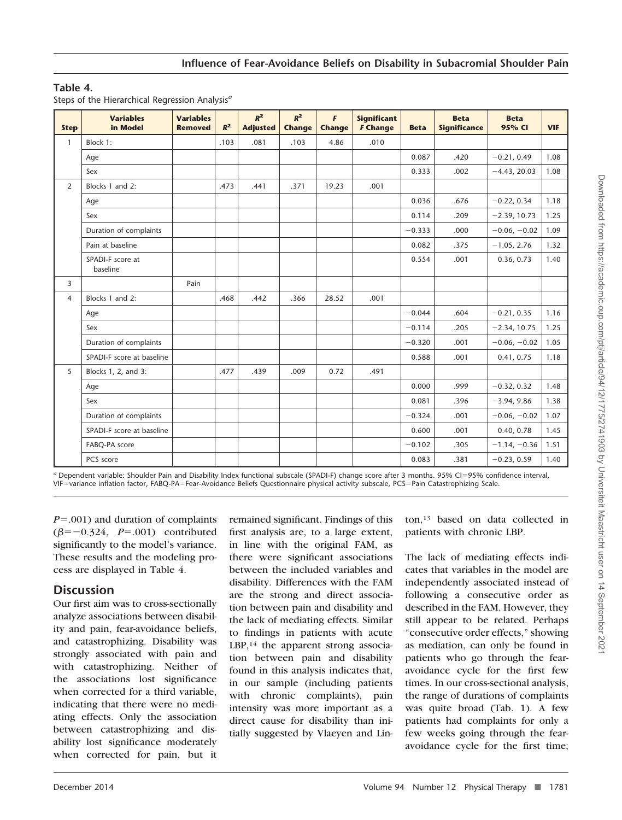## **Table 4.**

|  | Steps of the Hierarchical Regression Analysis <sup>a</sup> |  |
|--|------------------------------------------------------------|--|
|  |                                                            |  |

| <b>Step</b>    | <b>Variables</b><br>in Model | <b>Variables</b><br><b>Removed</b> | $R^2$ | $R^2$<br><b>Adjusted</b> | $R^2$<br>Change | F<br><b>Change</b> | <b>Significant</b><br><b>F Change</b> | <b>Beta</b> | <b>Beta</b><br><b>Significance</b> | <b>Beta</b><br>95% CI | <b>VIF</b> |
|----------------|------------------------------|------------------------------------|-------|--------------------------|-----------------|--------------------|---------------------------------------|-------------|------------------------------------|-----------------------|------------|
| $\mathbf{1}$   | Block 1:                     |                                    | .103  | .081                     | .103            | 4.86               | .010                                  |             |                                    |                       |            |
|                | Age                          |                                    |       |                          |                 |                    |                                       | 0.087       | .420                               | $-0.21, 0.49$         | 1.08       |
|                | Sex                          |                                    |       |                          |                 |                    |                                       | 0.333       | .002                               | $-4.43, 20.03$        | 1.08       |
| $\overline{2}$ | Blocks 1 and 2:              |                                    | .473  | .441                     | .371            | 19.23              | .001                                  |             |                                    |                       |            |
|                | Age                          |                                    |       |                          |                 |                    |                                       | 0.036       | .676                               | $-0.22, 0.34$         | 1.18       |
|                | Sex                          |                                    |       |                          |                 |                    |                                       | 0.114       | .209                               | $-2.39, 10.73$        | 1.25       |
|                | Duration of complaints       |                                    |       |                          |                 |                    |                                       | $-0.333$    | .000                               | $-0.06, -0.02$        | 1.09       |
|                | Pain at baseline             |                                    |       |                          |                 |                    |                                       | 0.082       | .375                               | $-1.05, 2.76$         | 1.32       |
|                | SPADI-F score at<br>baseline |                                    |       |                          |                 |                    |                                       | 0.554       | .001                               | 0.36, 0.73            | 1.40       |
| 3              |                              | Pain                               |       |                          |                 |                    |                                       |             |                                    |                       |            |
| $\overline{4}$ | Blocks 1 and 2:              |                                    | .468  | .442                     | .366            | 28.52              | .001                                  |             |                                    |                       |            |
|                | Age                          |                                    |       |                          |                 |                    |                                       | $-0.044$    | .604                               | $-0.21, 0.35$         | 1.16       |
|                | Sex                          |                                    |       |                          |                 |                    |                                       | $-0.114$    | .205                               | $-2.34, 10.75$        | 1.25       |
|                | Duration of complaints       |                                    |       |                          |                 |                    |                                       | $-0.320$    | .001                               | $-0.06, -0.02$        | 1.05       |
|                | SPADI-F score at baseline    |                                    |       |                          |                 |                    |                                       | 0.588       | .001                               | 0.41, 0.75            | 1.18       |
| 5              | Blocks 1, 2, and 3:          |                                    | .477  | .439                     | .009            | 0.72               | .491                                  |             |                                    |                       |            |
|                | Age                          |                                    |       |                          |                 |                    |                                       | 0.000       | .999                               | $-0.32, 0.32$         | 1.48       |
|                | Sex                          |                                    |       |                          |                 |                    |                                       | 0.081       | .396                               | $-3.94, 9.86$         | 1.38       |
|                | Duration of complaints       |                                    |       |                          |                 |                    |                                       | $-0.324$    | .001                               | $-0.06, -0.02$        | 1.07       |
|                | SPADI-F score at baseline    |                                    |       |                          |                 |                    |                                       | 0.600       | .001                               | 0.40, 0.78            | 1.45       |
|                | FABQ-PA score                |                                    |       |                          |                 |                    |                                       | $-0.102$    | .305                               | $-1.14, -0.36$        | 1.51       |
|                | PCS score                    |                                    |       |                          |                 |                    |                                       | 0.083       | .381                               | $-0.23, 0.59$         | 1.40       |

*<sup>a</sup>* Dependent variable: Shoulder Pain and Disability Index functional subscale (SPADI-F) change score after 3 months. 95% CI-95% confidence interval, VIF-variance inflation factor, FABQ-PA-Fear-Avoidance Beliefs Questionnaire physical activity subscale, PCS-Pain Catastrophizing Scale.

*P*=.001) and duration of complaints  $(\beta = -0.324, P = .001)$  contributed significantly to the model's variance. These results and the modeling process are displayed in Table 4.

## **Discussion**

Our first aim was to cross-sectionally analyze associations between disability and pain, fear-avoidance beliefs, and catastrophizing. Disability was strongly associated with pain and with catastrophizing. Neither of the associations lost significance when corrected for a third variable, indicating that there were no mediating effects. Only the association between catastrophizing and disability lost significance moderately when corrected for pain, but it

remained significant. Findings of this first analysis are, to a large extent, in line with the original FAM, as there were significant associations between the included variables and disability. Differences with the FAM are the strong and direct association between pain and disability and the lack of mediating effects. Similar to findings in patients with acute LBP,<sup>14</sup> the apparent strong association between pain and disability found in this analysis indicates that, in our sample (including patients with chronic complaints), pain intensity was more important as a direct cause for disability than initially suggested by Vlaeyen and Linton,13 based on data collected in patients with chronic LBP.

The lack of mediating effects indicates that variables in the model are independently associated instead of following a consecutive order as described in the FAM. However, they still appear to be related. Perhaps "consecutive order effects," showing as mediation, can only be found in patients who go through the fearavoidance cycle for the first few times. In our cross-sectional analysis, the range of durations of complaints was quite broad (Tab. 1). A few patients had complaints for only a few weeks going through the fearavoidance cycle for the first time;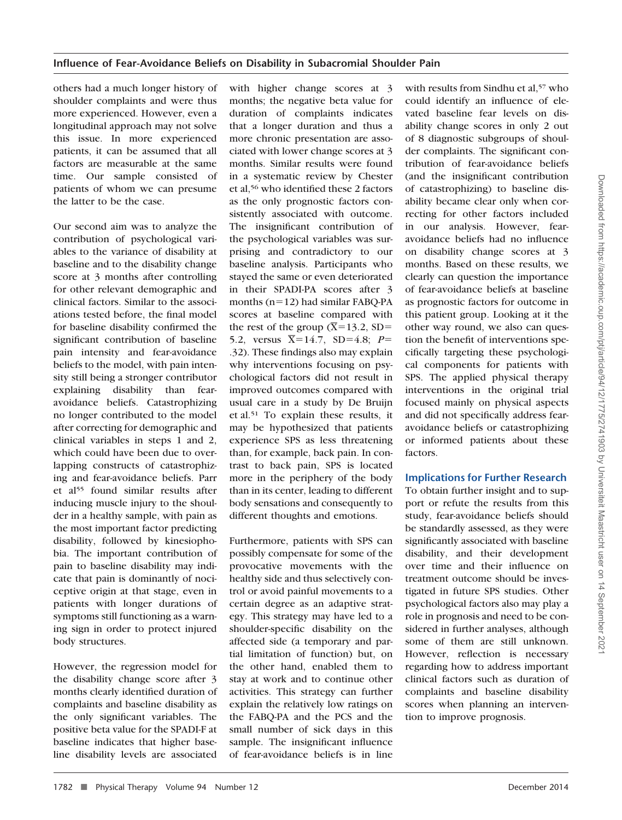others had a much longer history of shoulder complaints and were thus more experienced. However, even a longitudinal approach may not solve this issue. In more experienced patients, it can be assumed that all factors are measurable at the same time. Our sample consisted of patients of whom we can presume the latter to be the case.

Our second aim was to analyze the contribution of psychological variables to the variance of disability at baseline and to the disability change score at 3 months after controlling for other relevant demographic and clinical factors. Similar to the associations tested before, the final model for baseline disability confirmed the significant contribution of baseline pain intensity and fear-avoidance beliefs to the model, with pain intensity still being a stronger contributor explaining disability than fearavoidance beliefs. Catastrophizing no longer contributed to the model after correcting for demographic and clinical variables in steps 1 and 2, which could have been due to overlapping constructs of catastrophizing and fear-avoidance beliefs. Parr et al55 found similar results after inducing muscle injury to the shoulder in a healthy sample, with pain as the most important factor predicting disability, followed by kinesiophobia. The important contribution of pain to baseline disability may indicate that pain is dominantly of nociceptive origin at that stage, even in patients with longer durations of symptoms still functioning as a warning sign in order to protect injured body structures.

However, the regression model for the disability change score after 3 months clearly identified duration of complaints and baseline disability as the only significant variables. The positive beta value for the SPADI-F at baseline indicates that higher baseline disability levels are associated

with higher change scores at 3 months; the negative beta value for duration of complaints indicates that a longer duration and thus a more chronic presentation are associated with lower change scores at 3 months. Similar results were found in a systematic review by Chester et al,56 who identified these 2 factors as the only prognostic factors consistently associated with outcome. The insignificant contribution of the psychological variables was surprising and contradictory to our baseline analysis. Participants who stayed the same or even deteriorated in their SPADI-PA scores after 3 months (n=12) had similar FABQ-PA scores at baseline compared with the rest of the group  $(\overline{X}=13.2, SD=$ 5.2, versus  $\bar{X}$ =14.7, SD=4.8; *P*= .32). These findings also may explain why interventions focusing on psychological factors did not result in improved outcomes compared with usual care in a study by De Bruijn et al.51 To explain these results, it may be hypothesized that patients experience SPS as less threatening than, for example, back pain. In contrast to back pain, SPS is located more in the periphery of the body than in its center, leading to different body sensations and consequently to different thoughts and emotions.

Furthermore, patients with SPS can possibly compensate for some of the provocative movements with the healthy side and thus selectively control or avoid painful movements to a certain degree as an adaptive strategy. This strategy may have led to a shoulder-specific disability on the affected side (a temporary and partial limitation of function) but, on the other hand, enabled them to stay at work and to continue other activities. This strategy can further explain the relatively low ratings on the FABQ-PA and the PCS and the small number of sick days in this sample. The insignificant influence of fear-avoidance beliefs is in line

with results from Sindhu et al,<sup>57</sup> who could identify an influence of elevated baseline fear levels on disability change scores in only 2 out of 8 diagnostic subgroups of shoulder complaints. The significant contribution of fear-avoidance beliefs (and the insignificant contribution of catastrophizing) to baseline disability became clear only when correcting for other factors included in our analysis. However, fearavoidance beliefs had no influence on disability change scores at 3 months. Based on these results, we clearly can question the importance of fear-avoidance beliefs at baseline as prognostic factors for outcome in this patient group. Looking at it the other way round, we also can question the benefit of interventions specifically targeting these psychological components for patients with SPS. The applied physical therapy interventions in the original trial focused mainly on physical aspects and did not specifically address fearavoidance beliefs or catastrophizing or informed patients about these factors.

## **Implications for Further Research**

To obtain further insight and to support or refute the results from this study, fear-avoidance beliefs should be standardly assessed, as they were significantly associated with baseline disability, and their development over time and their influence on treatment outcome should be investigated in future SPS studies. Other psychological factors also may play a role in prognosis and need to be considered in further analyses, although some of them are still unknown. However, reflection is necessary regarding how to address important clinical factors such as duration of complaints and baseline disability scores when planning an intervention to improve prognosis.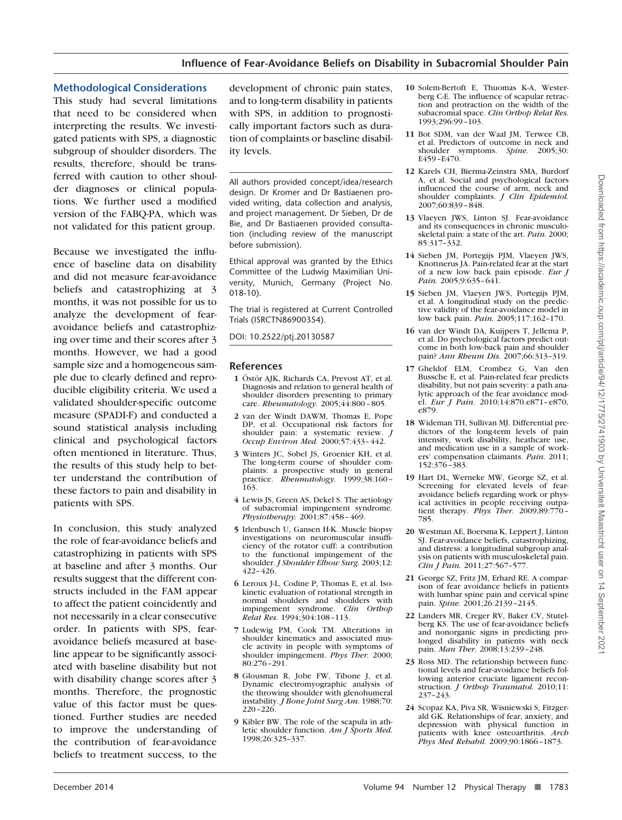#### **Methodological Considerations**

This study had several limitations that need to be considered when interpreting the results. We investigated patients with SPS, a diagnostic subgroup of shoulder disorders. The results, therefore, should be transferred with caution to other shoulder diagnoses or clinical populations. We further used a modified version of the FABQ-PA, which was not validated for this patient group.

Because we investigated the influence of baseline data on disability and did not measure fear-avoidance beliefs and catastrophizing at 3 months, it was not possible for us to analyze the development of fearavoidance beliefs and catastrophizing over time and their scores after 3 months. However, we had a good sample size and a homogeneous sample due to clearly defined and reproducible eligibility criteria. We used a validated shoulder-specific outcome measure (SPADI-F) and conducted a sound statistical analysis including clinical and psychological factors often mentioned in literature. Thus, the results of this study help to better understand the contribution of these factors to pain and disability in patients with SPS.

In conclusion, this study analyzed the role of fear-avoidance beliefs and catastrophizing in patients with SPS at baseline and after 3 months. Our results suggest that the different constructs included in the FAM appear to affect the patient coincidently and not necessarily in a clear consecutive order. In patients with SPS, fearavoidance beliefs measured at baseline appear to be significantly associated with baseline disability but not with disability change scores after 3 months. Therefore, the prognostic value of this factor must be questioned. Further studies are needed to improve the understanding of the contribution of fear-avoidance beliefs to treatment success, to the

development of chronic pain states, and to long-term disability in patients with SPS, in addition to prognostically important factors such as duration of complaints or baseline disability levels.

All authors provided concept/idea/research design. Dr Kromer and Dr Bastiaenen provided writing, data collection and analysis, and project management. Dr Sieben, Dr de Bie, and Dr Bastiaenen provided consultation (including review of the manuscript before submission).

Ethical approval was granted by the Ethics Committee of the Ludwig Maximilian University, Munich, Germany (Project No. 018-10).

The trial is registered at Current Controlled Trials (ISRCTN86900354).

DOI: 10.2522/ptj.20130587

#### **References**

- **1** Ostör AIK, Richards CA, Prevost AT, et al. Diagnosis and relation to general health of shoulder disorders presenting to primary care. *Rheumatology.* 2005;44:800 – 805.
- **2** van der Windt DAWM, Thomas E, Pope DP, et al. Occupational risk factors for shoulder pain: a systematic review. *J Occup Environ Med.* 2000;57:433– 442.
- **3** Winters JC, Sobel JS, Groenier KH, et al. The long-term course of shoulder complaints: a prospective study in general practice. *Rheumatology.* 1999;38:160 – 163.
- **4** Lewis JS, Green AS, Dekel S. The aetiology of subacromial impingement syndrome. *Physiotherapy.* 2001;87:458 – 469.
- **5** Irlenbusch U, Gansen H-K. Muscle biopsy investigations on neuromuscular insufficiency of the rotator cuff: a contribution to the functional impingement of the shoulder. *J Shoulder Elbow Surg.* 2003;12: 422– 426.
- **6** Leroux J-L, Codine P, Thomas E, et al. Isokinetic evaluation of rotational strength in normal shoulders and shoulders with<br>impingement syndrome. *Clin Ortbob* impingement syndrome. *Relat Res.* 1994;304:108 –113.
- **7** Ludewig PM, Cook TM. Alterations in shoulder kinematics and associated muscle activity in people with symptoms of shoulder impingement. *Phys Ther.* 2000; 80:276 –291.
- **8** Glousman R, Jobe FW, Tibone J, et al. Dynamic electromyographic analysis of the throwing shoulder with glenohumeral instability. *J Bone Joint Surg Am.* 1988;70: 220 –226.
- **9** Kibler BW. The role of the scapula in athletic shoulder function. *Am J Sports Med.* 1998;26:325–337.
- **10** Solem-Bertoft E, Thuomas K-A, Westerberg C-E. The influence of scapular retraction and protraction on the width of the subacromial space. *Clin Orthop Relat Res.* 1993;296:99 –103.
- **11** Bot SDM, van der Waal JM, Terwee CB, et al. Predictors of outcome in neck and shoulder symptoms. *Spine.* 2005;30: E459 –E470.
- **12** Karels CH, Bierma-Zeinstra SMA, Burdorf A, et al. Social and psychological factors influenced the course of arm, neck and shoulder complaints. *J Clin Epidemiol.* 2007;60:839 – 848.
- **13** Vlaeyen JWS, Linton SJ. Fear-avoidance and its consequences in chronic musculoskeletal pain: a state of the art. *Pain.* 2000; 85:317–332.
- **14** Sieben JM, Portegijs PJM, Vlaeyen JWS, Knottnerus JA. Pain-related fear at the start of a new low back pain episode. *Eur J Pain.* 2005;9:635– 641.
- **15** Sieben JM, Vlaeyen JWS, Portegijs PJM, et al. A longitudinal study on the predictive validity of the fear-avoidance model in low back pain. *Pain.* 2005;117:162–170.
- **16** van der Windt DA, Kuijpers T, Jellema P, et al. Do psychological factors predict outcome in both low-back pain and shoulder pain? *Ann Rheum Dis.* 2007;66:313–319.
- **17** Gheldof ELM, Crombez G, Van den Bussche E, et al. Pain-related fear predicts disability, but not pain severity: a path analytic approach of the fear avoidance model. *Eur J Pain.* 2010;14:870.e871–e870, e879.
- **18** Wideman TH, Sullivan MJ. Differential predictors of the long-term levels of pain intensity, work disability, heathcare use, and medication use in a sample of workers' compensation claimants. *Pain.* 2011; 152:376 –383.
- **19** Hart DL, Werneke MW, George SZ, et al. Screening for elevated levels of fearavoidance beliefs regarding work or physical activities in people receiving outpatient therapy. *Phys Ther.* 2009;89:770 – 785.
- **20** Westman AE, Boersma K, Leppert J, Linton SJ. Fear-avoidance beliefs, catastrophizing, and distress: a longitudinal subgroup analysis on patients with musculoskeletal pain. *Clin J Pain.* 2011;27:567–577.
- **21** George SZ, Fritz JM, Erhard RE. A comparison of fear avoidance beliefs in patients with lumbar spine pain and cervical spine pain. *Spine.* 2001;26:2139 –2145.
- **22** Landers MR, Creger RV, Baker CV, Stutelberg KS. The use of fear-avoidance beliefs and nonorganic signs in predicting prolonged disability in patients with neck pain. *Man Ther.* 2008;13:239 –248.
- **23** Ross MD. The relationship between functional levels and fear-avoidance beliefs following anterior cruciate ligament reconstruction. *J Orthop Traumatol.* 2010;11: 237–243.
- **24** Scopaz KA, Piva SR, Wisniewski S, Fitzgerald GK. Relationships of fear, anxiety, and depression with physical function in patients with knee osteoarthritis. *Arch Phys Med Rehabil.* 2009;90:1866 –1873.